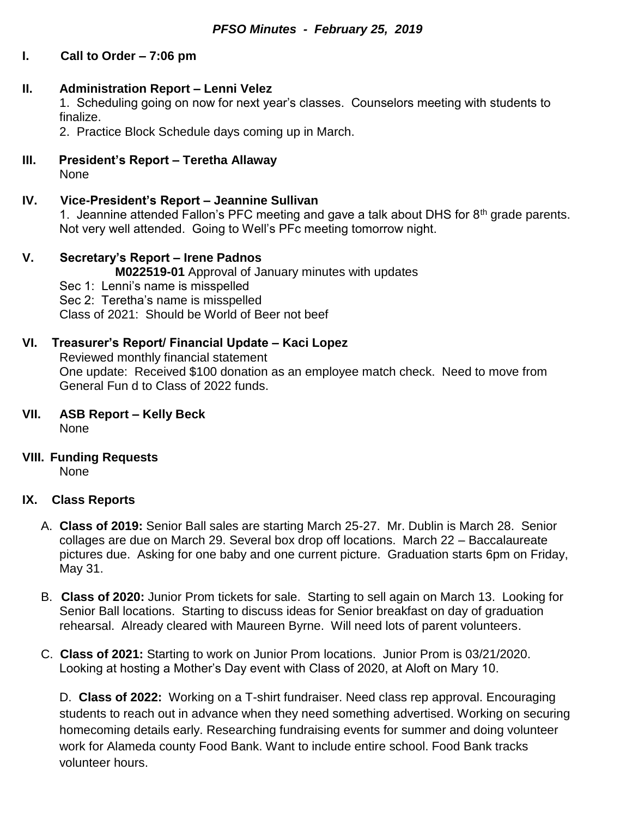# **I. Call to Order – 7:06 pm**

## **II. Administration Report – Lenni Velez**

1. Scheduling going on now for next year's classes. Counselors meeting with students to finalize.

2. Practice Block Schedule days coming up in March.

**III. President's Report – Teretha Allaway** None

# **IV. Vice-President's Report – Jeannine Sullivan**

1. Jeannine attended Fallon's PFC meeting and gave a talk about DHS for  $8<sup>th</sup>$  grade parents. Not very well attended. Going to Well's PFc meeting tomorrow night.

### **V. Secretary's Report – Irene Padnos**

**M022519-01** Approval of January minutes with updates

Sec 1: Lenni's name is misspelled

Sec 2: Teretha's name is misspelled

Class of 2021: Should be World of Beer not beef

### **VI. Treasurer's Report/ Financial Update – Kaci Lopez**

Reviewed monthly financial statement One update: Received \$100 donation as an employee match check. Need to move from General Fun d to Class of 2022 funds.

- **VII. ASB Report – Kelly Beck** None
- **VIII. Funding Requests**

None

### **IX. Class Reports**

- A. **Class of 2019:** Senior Ball sales are starting March 25-27. Mr. Dublin is March 28. Senior collages are due on March 29. Several box drop off locations. March 22 – Baccalaureate pictures due. Asking for one baby and one current picture. Graduation starts 6pm on Friday, May 31.
- B. **Class of 2020:** Junior Prom tickets for sale. Starting to sell again on March 13. Looking for Senior Ball locations. Starting to discuss ideas for Senior breakfast on day of graduation rehearsal. Already cleared with Maureen Byrne. Will need lots of parent volunteers.
- C. **Class of 2021:** Starting to work on Junior Prom locations. Junior Prom is 03/21/2020. Looking at hosting a Mother's Day event with Class of 2020, at Aloft on Mary 10.

D. **Class of 2022:** Working on a T-shirt fundraiser. Need class rep approval. Encouraging students to reach out in advance when they need something advertised. Working on securing homecoming details early. Researching fundraising events for summer and doing volunteer work for Alameda county Food Bank. Want to include entire school. Food Bank tracks volunteer hours.